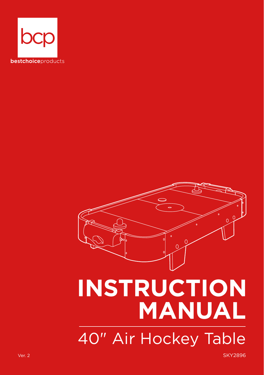



# **INSTRUCTION MANUAL** 40" Air Hockey Table

Ver. 2 SKY2896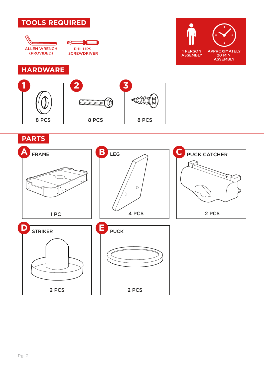

2 PCS

2 PCS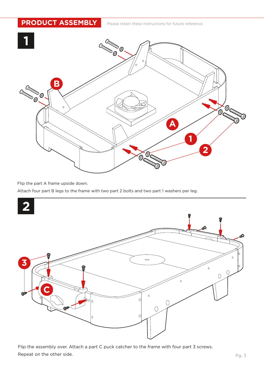**PRODUCT ASSEMBLY** Please retain these instructions for future reference.



Flip the part A frame upside down.

Attach four part B legs to the frame with two part 2 bolts and two part 1 washers per leg.



Flip the assembly over. Attach a part C puck catcher to the frame with four part 3 screws. Repeat on the other side.